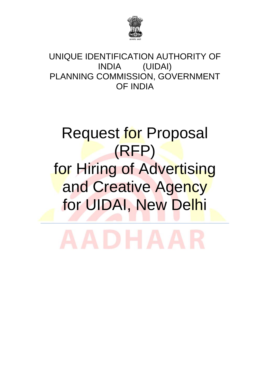

UNIQUE IDENTIFICATION AUTHORITY OF INDIA (UIDAI) PLANNING COMMISSION, GOVERNMENT OF INDIA

# **Request for Proposal** (RFP) for Hiring of Advertising and Creative Agency for UIDAI, New Delhi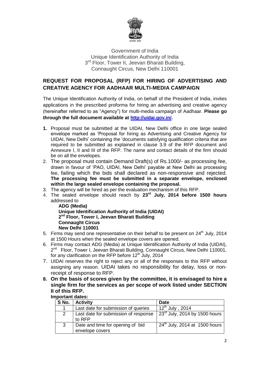

Government of India Unique Identification Authority of India 3<sup>rd</sup> Floor, Tower II, Jeevan Bharati Building, Connaught Circus, New Delhi 110001

# **REQUEST FOR PROPOSAL (RFP) FOR HIRING OF ADVERTISING AND CREATIVE AGENCY FOR AADHAAR MULTI-MEDIA CAMPAIGN**

The Unique Identification Authority of India, on behalf of the President of India, invites applications in the prescribed proforma for hiring an advertising and creative agency (hereinafter referred to as "Agency") for multi-media campaign of Aadhaar. **Please go through the full document available at [http://uidai.gov.in/.](http://uidai.gov.in/)**

- **1.** Proposal must be submitted at the UIDAI, New Delhi office in one large sealed envelope marked as "Proposal for hiring as Advertising and Creative Agency for UIDAI, New Delhi" containing the "documents satisfying qualification criteria that are required to be submitted as explained in clause 3.9 of the RFP document and Annexure I, II and III of the RFP. The name and contact details of the firm should be on all the envelopes.
- 2. The proposal must contain Demand Draft(s) of Rs.1000/- as processing fee, drawn in favour of "PAO, UIDAI, New Delhi" payable at New Delhi as processing fee, failing which the bids shall declared as non-responsive and rejected. **The processing fee must be submitted in a separate envelope, enclosed within the large sealed envelope containing the proposal.**
- 3. The agency will be hired as per the evaluation mechanism of this RFP.
- 4. The sealed envelope should reach by **23 rd July, 2014 before 1500 hours** addressed to

**ADG (Media) Unique Identification Authority of India (UIDAI) 2 nd Floor, Tower I, Jeevan Bharati Building Connaught Circus New Delhi 110001**

- 5. Firms may send one representative on their behalf to be present on  $24<sup>th</sup>$  July, 2014 at 1500 Hours when the sealed envelope covers are opened.
- 6. Firms may contact ADG (Media) at Unique Identification Authority of India (UIDAI), 2<sup>nd</sup> Floor, Tower I, Jeevan Bharati Building, Connaught Circus, New Delhi 110001, for any clarification on the RFP before 12<sup>th</sup> July, 2014
- 7. UIDAI reserves the right to reject any or all of the responses to this RFP without assigning any reason. UIDAI takes no responsibility for delay, loss or nonreceipt of response to RFP.
- **8. On the basis of scores given by the committee, it is envisaged to hire a single firm for the services as per scope of work listed under SECTION II of this RFP.**

## **Important dates:**

| S No. | <b>Activity</b>                                     | <b>Date</b>                               |
|-------|-----------------------------------------------------|-------------------------------------------|
|       | Last date for submission of queries                 | $12^{th}$ July, 2014                      |
|       | Last date for submission of response<br>to RFP      | $23^{\text{rd}}$ July, 2014 by 1500 hours |
| 3     | Date and time for opening of bid<br>envelope covers | $24th$ July, 2014 at 1500 hours           |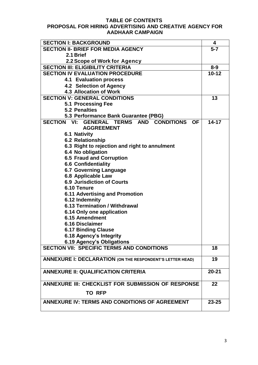#### **TABLE OF CONTENTS PROPOSAL FOR HIRING ADVERTISING AND CREATIVE AGENCY FOR AADHAAR CAMPAIGN**

| <b>SECTION I: BACKGROUND</b>                                                                          | 4                    |  |
|-------------------------------------------------------------------------------------------------------|----------------------|--|
| <b>SECTION II- BRIEF FOR MEDIA AGENCY</b>                                                             |                      |  |
| 2.1 Brief                                                                                             |                      |  |
| 2.2 Scope of Work for Agency                                                                          |                      |  |
| <b>SECTION III: ELIGIBILITY CRITERIA</b>                                                              |                      |  |
| <b>SECTION IV EVALUATION PROCEDURE</b>                                                                | $8 - 9$<br>$10 - 12$ |  |
| <b>4.1 Evaluation process</b>                                                                         |                      |  |
| 4.2 Selection of Agency                                                                               |                      |  |
| <b>4.3 Allocation of Work</b>                                                                         |                      |  |
| <b>SECTION V: GENERAL CONDITIONS</b>                                                                  | 13                   |  |
| 5.1 Processing Fee                                                                                    |                      |  |
| <b>5.2 Penalties</b>                                                                                  |                      |  |
| 5.3 Performance Bank Guarantee (PBG)                                                                  |                      |  |
| <b>SECTION VI:</b><br><b>GENERAL TERMS AND</b><br><b>CONDITIONS</b><br><b>OF</b><br><b>AGGREEMENT</b> | $14 - 17$            |  |
| <b>6.1 Nativity</b>                                                                                   |                      |  |
| 6.2 Relationship                                                                                      |                      |  |
| 6.3 Right to rejection and right to annulment                                                         |                      |  |
| 6.4 No obligation                                                                                     |                      |  |
| <b>6.5 Fraud and Corruption</b>                                                                       |                      |  |
| <b>6.6 Confidentiality</b>                                                                            |                      |  |
| <b>6.7 Governing Language</b>                                                                         |                      |  |
| 6.8 Applicable Law                                                                                    |                      |  |
| <b>6.9 Jurisdiction of Courts</b>                                                                     |                      |  |
| 6.10 Tenure                                                                                           |                      |  |
| <b>6.11 Advertising and Promotion</b>                                                                 |                      |  |
| 6.12 Indemnity                                                                                        |                      |  |
| 6.13 Termination / Withdrawal                                                                         |                      |  |
| 6.14 Only one application                                                                             |                      |  |
| 6.15 Amendment                                                                                        |                      |  |
| <b>6.16 Disclaimer</b>                                                                                |                      |  |
| <b>6.17 Binding Clause</b>                                                                            |                      |  |
| 6.18 Agency's Integrity                                                                               |                      |  |
| 6.19 Agency's Obligations                                                                             |                      |  |
| <b>SECTION VII: SPECIFIC TERMS AND CONDITIONS</b>                                                     | 18                   |  |
| <b>ANNEXURE I: DECLARATION (ON THE RESPONDENT'S LETTER HEAD)</b>                                      | 19                   |  |
| <b>ANNEXURE II: QUALIFICATION CRITERIA</b>                                                            | $20 - 21$            |  |
| ANNEXURE III: CHECKLIST FOR SUBMISSION OF RESPONSE                                                    |                      |  |
| <b>TO RFP</b>                                                                                         |                      |  |
| ANNEXURE IV: TERMS AND CONDITIONS OF AGREEMENT                                                        | $23 - 25$            |  |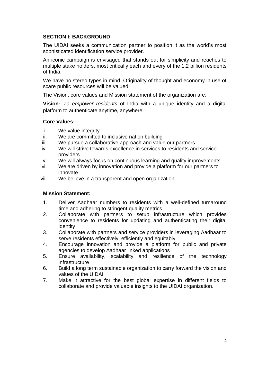#### **SECTION I: BACKGROUND**

The UIDAI seeks a communication partner to position it as the world"s most sophisticated identification service provider.

An iconic campaign is envisaged that stands out for simplicity and reaches to multiple stake holders, most critically each and every of the 1.2 billion residents of India.

We have no stereo types in mind. Originality of thought and economy in use of scare public resources will be valued.

The Vision, core values and Mission statement of the organization are:

**Vision:** *To empower residents* of India with a unique identity and a digital platform to authenticate anytime, anywhere.

#### **Core Values:**

- i. We value integrity
- ii. We are committed to inclusive nation building
- iii. We pursue a collaborative approach and value our partners
- iv. We will strive towards excellence in services to residents and service providers
- v. We will always focus on continuous learning and quality improvements
- vi. We are driven by innovation and provide a platform for our partners to innovate
- vii. We believe in a transparent and open organization

#### **Mission Statement:**

- 1. Deliver Aadhaar numbers to residents with a well-defined turnaround time and adhering to stringent quality metrics
- 2. Collaborate with partners to setup infrastructure which provides convenience to residents for updating and authenticating their digital identity
- 3. Collaborate with partners and service providers in leveraging Aadhaar to serve residents effectively, efficiently and equitably
- 4. Encourage innovation and provide a platform for public and private agencies to develop Aadhaar linked applications
- 5. Ensure availability, scalability and resilience of the technology infrastructure
- 6. Build a long term sustainable organization to carry forward the vision and values of the UIDAI
- 7. Make it attractive for the best global expertise in different fields to collaborate and provide valuable insights to the UIDAI organization.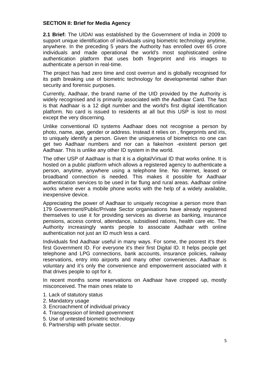#### **SECTION II: Brief for Media Agency**

**2.1 Brief:** The UIDAI was established by the Government of India in 2009 to support unique identification of individuals using biometric technology anytime, anywhere. In the preceding 5 years the Authority has enrolled over 65 crore individuals and made operational the world's most sophisticated online authentication platform that uses both fingerprint and iris images to authenticate a person in real-time.

The project has had zero time and cost overrun and is globally recognised for its path breaking use of biometric technology for developmental rather than security and forensic purposes.

Currently, Aadhaar, the brand name of the UID provided by the Authority is widely recognised and is primarily associated with the Aadhaar Card. The fact is that Aadhaar is a 12 digit number and the world's first digital identification platform. No card is issued to residents at all but this USP is lost to most except the very discerning.

Unlike conventional ID systems Aadhaar does not recognise a person by photo, name, age, gender or address. Instead it relies on , fingerprints and iris, to uniquely identify a person. Given the uniqueness of biometrics no one can get two Aadhaar numbers and nor can a fake/non -existent person get Aadhaar. This is unlike any other ID system in the world.

The other USP of Aadhaar is that it is a digital/Virtual ID that works online. It is hosted on a public platform which allows a registered agency to authenticate a person, anytime, anywhere using a telephone line. No internet, leased or broadband connection is needed. This makes it possible for Aadhaar authentication services to be used in far flung and rural areas. Aadhaar online works where ever a mobile phone works with the help of a widely available, inexpensive device.

Appreciating the power of Aadhaar to uniquely recognise a person more than 179 Government/Public/Private Sector organisations have already registered themselves to use it for providing services as diverse as banking, insurance pensions, access control, attendance, subsidised rations, health care etc. The Authority increasingly wants people to associate Aadhaar with online authentication not just an ID much less a card.

Individuals find Aadhaar useful in many ways. For some, the poorest it's their first Government ID. For everyone it's their first Digital ID. It helps people get telephone and LPG connections, bank accounts, insurance policies, railway reservations, entry into airports and many other conveniences. Aadhaar is voluntary and it"s only the convenience and empowerment associated with it that drives people to opt for it.

In recent months some reservations on Aadhaar have cropped up, mostly misconceived. The main ones relate to

- 1. Lack of statutory status
- 2. Mandatory usage
- 3. Encroachment of individual privacy
- 4. Transgression of limited government
- 5. Use of untested biometric technology
- 6. Partnership with private sector.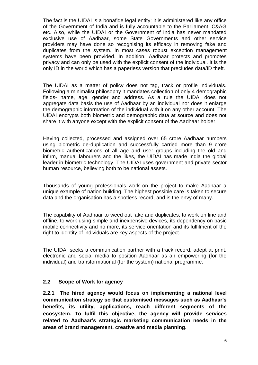The fact is the UIDAI is a bonafide legal entity; it is administered like any office of the Government of India and is fully accountable to the Parliament, C&AG etc. Also, while the UIDAI or the Government of India has never mandated exclusive use of Aadhaar, some State Governments and other service providers may have done so recognising its efficacy in removing fake and duplicates from the system. In most cases robust exception management systems have been provided. In addition, Aadhaar protects and promotes privacy and can only be used with the explicit consent of the individual. It is the only ID in the world which has a paperless version that precludes data/ID theft.

The UIDAI as a matter of policy does not tag, track or profile individuals. Following a minimalist philosophy it mandates collection of only 4 demographic fields- name, age, gender and address. As a rule the UIDAI does not aggregate data basis the use of Aadhaar by an individual nor does it enlarge the demographic information of the individual with it on any other account. The UIDAI encrypts both biometric and demographic data at source and does not share it with anyone except with the explicit consent of the Aadhaar holder.

Having collected, processed and assigned over 65 crore Aadhaar numbers using biometric de-duplication and successfully carried more than 9 crore biometric authentications of all age and user groups including the old and infirm, manual labourers and the likes, the UIDAI has made India the global leader in biometric technology. The UIDAI uses government and private sector human resource, believing both to be national assets.

Thousands of young professionals work on the project to make Aadhaar a unique example of nation building. The highest possible care is taken to secure data and the organisation has a spotless record, and is the envy of many.

The capability of Aadhaar to weed out fake and duplicates, to work on line and offline, to work using simple and inexpensive devices, its dependency on basic mobile connectivity and no more, its service orientation and its fulfilment of the right to identity of individuals are key aspects of the project.

The UIDAI seeks a communication partner with a track record, adept at print, electronic and social media to position Aadhaar as an empowering (for the individual) and transformational (for the system) national programme.

#### **2.2 Scope of Work for agency**

**2.2.1 The hired agency would focus on implementing a national level communication strategy so that customised messages such as Aadhaar's benefits, its utility, applications, reach different segments of the ecosystem. To fulfil this objective, the agency will provide services related to Aadhaar's strategic marketing communication needs in the areas of brand management, creative and media planning.**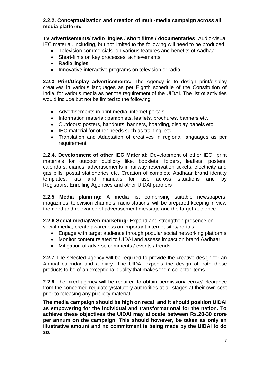#### **2.2.2. Conceptualization and creation of multi-media campaign across all media platform:**

**TV advertisements/ radio jingles / short films / documentaries:** Audio-visual IEC material, including, but not limited to the following will need to be produced

- Television commercials on various features and benefits of Aadhaar
- Short-films on key processes, achievements
- Radio jingles
- Innovative interactive programs on television or radio

**2.2.3 Print/Display advertisements:** The Agency is to design print/display creatives in various languages as per Eighth schedule of the Constitution of India, for various media as per the requirement of the UIDAI. The list of activities would include but not be limited to the following:

- Advertisements in print media, internet portals,
- Information material: pamphlets, leaflets, brochures, banners etc.
- Outdoors: posters, handouts, banners, hoarding, display panels etc.
- IEC material for other needs such as training, etc.
- Translation and Adaptation of creatives in regional languages as per requirement

**2.2.4. Development of other IEC Material:** Development of other IEC print materials for outdoor publicity like, booklets, folders, leaflets, posters, calendars, diaries, advertisements in railway reservation tickets, electricity and gas bills, postal stationeries etc. Creation of complete Aadhaar brand identity templates, kits and manuals for use across situations and by Registrars, Enrolling Agencies and other UIDAI partners

**2.2.5 Media planning:** A media list comprising suitable newspapers, magazines, television channels, radio stations, will be prepared keeping in view the need and relevance of advertisement message and the target audience.

**2.2.6 Social media/Web marketing:** Expand and strengthen presence on social media, create awareness on important internet sites/portals:

- Engage with target audience through popular social networking platforms
- Monitor content related to UIDAI and assess impact on brand Aadhaar
- Mitigation of adverse comments / events / trends

**2.2.7** The selected agency will be required to provide the creative design for an Annual calendar and a diary. The UIDAI expects the design of both these products to be of an exceptional quality that makes them collector items.

**2.2.8** The hired agency will be required to obtain permission/license/ clearance from the concerned regulatory/statutory authorities at all stages at their own cost prior to releasing any publicity material.

**The media campaign should be high on recall and it should position UIDAI as empowering for the individual and transformational for the nation. To achieve these objectives the UIDAI may allocate between Rs.20-30 crore per annum on the campaign. This should however, be taken as only an illustrative amount and no commitment is being made by the UIDAI to do so.**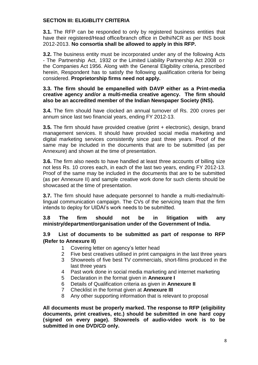## **SECTION III: ELIGIBLITY CRITERIA**

**3.1.** The RFP can be responded to only by registered business entities that have their registered/Head office/branch office in Delhi/NCR as per INS book 2012-2013. **No consortia shall be allowed to apply in this RFP.**

**3.2.** The business entity must be incorporated under any of the following Acts - The Partnership Act, 1932 or the Limited Liability Partnership Act 2008 o r the Companies Act 1956. Along with the General Eligibility criteria, prescribed herein, Respondent has to satisfy the following qualification criteria for being considered. **Proprietorship firms need not apply.**

#### **3.3. The firm should be empanelled with DAVP either as a Print-media creative agency and/or a multi-media creative agency. The firm should also be an accredited member of the Indian Newspaper Society (INS).**

**3.4.** The firm should have clocked an annual turnover of Rs. 200 crores per annum since last two financial years, ending FY 2012-13.

**3.5.** The firm should have provided creative (print + electronic), design, brand management services. It should have provided social media marketing and digital marketing services consistently since past three years. Proof of the same may be included in the documents that are to be submitted (as per Annexure) and shown at the time of presentation.

**3.6.** The firm also needs to have handled at least three accounts of billing size not less Rs. 10 crores each, in each of the last two years, ending FY 2012-13. Proof of the same may be included in the documents that are to be submitted (as per Annexure II) and sample creative work done for such clients should be showcased at the time of presentation.

**3.7.** The firm should have adequate personnel to handle a multi-media/multilingual communication campaign. The CVs of the servicing team that the firm intends to deploy for UIDAI"s work needs to be submitted.

#### **3.8 The firm should not be in litigation with any ministry/department/organisation under of the Government of India.**

## **3.9 List of documents to be submitted as part of response to RFP (Refer to Annexure II)**

- 1 Covering letter on agency"s letter head
- 2 Five best creatives utilised in print campaigns in the last three years
- 3 Showreels of five best TV commercials, short-films produced in the last three years
- 4 Past work done in social media marketing and internet marketing
- 5 Declaration in the format given in **Annexure I**
- 6 Details of Qualification criteria as given in **Annexure II**
- 7 Checklist in the format given at **Annexure III**
- 8 Any other supporting information that is relevant to proposal

**All documents must be properly marked. The response to RFP (eligibility documents, print creatives, etc.) should be submitted in one hard copy (signed on every page). Showreels of audio-video work is to be submitted in one DVD/CD only.**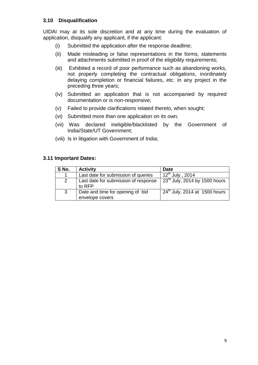## **3.10 Disqualification**

UIDAI may at its sole discretion and at any time during the evaluation of application, disqualify any applicant, if the applicant:

- (i) Submitted the application after the response deadline;
- (ii) Made misleading or false representations in the forms, statements and attachments submitted in proof of the eligibility requirements;
- (iii) Exhibited a record of poor performance such as abandoning works, not properly completing the contractual obligations, inordinately delaying completion or financial failures, etc. in any project in the preceding three years;
- (iv) Submitted an application that is not accompanied by required documentation or is non-responsive;
- (v) Failed to provide clarifications related thereto, when sought;
- (vi) Submitted more than one application on its own;
- (vii) Was declared ineligible/blacklisted by the Government of India/State/UT Government;
- (viii) Is in litigation with Government of India;

#### **3.11 Important Dates:**

| S No.        | <b>Activity</b>                                     | <b>Date</b>                        |
|--------------|-----------------------------------------------------|------------------------------------|
| 1            | Last date for submission of queries                 | $12^{th}$ July, 2014               |
| 2            | Last date for submission of response<br>to RFP      | $23^{rd}$ July, 2014 by 1500 hours |
| $\mathbf{3}$ | Date and time for opening of bid<br>envelope covers | $24th$ July, 2014 at 1500 hours    |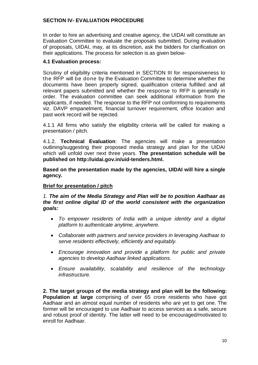## **SECTION IV- EVALUATION PROCEDURE**

In order to hire an advertising and creative agency, the UIDAI will constitute an Evaluation Committee to evaluate the proposals submitted. During evaluation of proposals, UIDAI, may, at its discretion, ask the bidders for clarification on their applications. The process for selection is as given below-

#### **4.1 Evaluation process:**

Scrutiny of eligibility criteria mentioned in SECTION III for responsiveness to the RFP will be done by the Evaluation Committee to determine whether the documents have been properly signed, qualification criteria fulfilled and all relevant papers submitted and whether the response to RFP is generally in order. The evaluation committee can seek additional information from the applicants, if needed. The response to the RFP not conforming to requirements viz. DAVP empanelment, financial turnover requirement, office location and past work record will be rejected.

4.1.1 All firms who satisfy the eligibility criteria will be called for making a presentation / pitch.

4.1.2. **Technical Evaluation**: The agencies will make a presentation outlining/suggesting their proposed media strategy and plan for the UIDAI which will unfold over next three years. **The presentation schedule will be published on http://uidai.gov.in/uid-tenders.html.**

**Based on the presentation made by the agencies, UIDAI will hire a single agency.**

## **Brief for presentation / pitch**

*1. The aim of the Media Strategy and Plan will be to position Aadhaar as the first online digital ID of the world consistent with the organization goals:*

- *To empower residents of India with a unique identity and a digital platform to authenticate anytime, anywhere.*
- *Collaborate with partners and service providers in leveraging Aadhaar to serve residents effectively, efficiently and equitably.*
- *Encourage innovation and provide a platform for public and private agencies to develop Aadhaar linked applications.*
- *Ensure availability, scalability and resilience of the technology infrastructure.*

**2. The target groups of the media strategy and plan will be the following: Population at large** comprising of over 65 crore residents who have got Aadhaar and an almost equal number of residents who are yet to get one. The former will be encouraged to use Aadhaar to access services as a safe, secure and robust proof of identity. The latter will need to be encouraged/motivated to enroll for Aadhaar.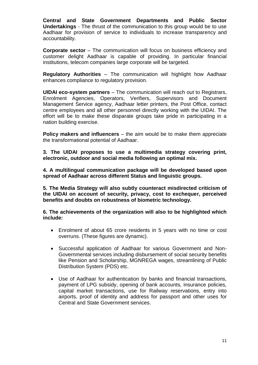**Central and State Government Departments and Public Sector Undertakings** - The thrust of the communication to this group would be to use Aadhaar for provision of service to individuals to increase transparency and accountability.

**Corporate sector** – The communication will focus on business efficiency and customer delight Aadhaar is capable of providing. In particular financial institutions, telecom companies large corporate will be targeted.

**Regulatory Authorities** – The communication will highlight how Aadhaar enhances compliance to regulatory provision.

**UIDAI eco-system partners** – The communication will reach out to Registrars, Enrolment Agencies, Operators, Verifiers, Supervisors and Document Management Service agency, Aadhaar letter printers, the Post Office, contact centre employees and all other personnel directly working with the UIDAI. The effort will be to make these disparate groups take pride in participating in a nation building exercise.

**Policy makers and influencers** – the aim would be to make them appreciate the transformational potential of Aadhaar.

**3. The UIDAI proposes to use a multimedia strategy covering print, electronic, outdoor and social media following an optimal mix.**

**4. A multilingual communication package will be developed based upon spread of Aadhaar across different Status and linguistic groups.**

**5. The Media Strategy will also subtly counteract misdirected criticism of the UIDAI on account of security, privacy, cost to exchequer, perceived benefits and doubts on robustness of biometric technology.**

**6. The achievements of the organization will also to be highlighted which include:**

- Enrolment of about 65 crore residents in 5 years with no time or cost overruns. (These figures are dynamic).
- Successful application of Aadhaar for various Government and Non-Governmental services including disbursement of social security benefits like Pension and Scholarship, MGNREGA wages, streamlining of Public Distribution System (PDS) etc.
- Use of Aadhaar for authentication by banks and financial transactions, payment of LPG subsidy, opening of bank accounts, insurance policies, capital market transactions, use for Railway reservations, entry into airports, proof of identity and address for passport and other uses for Central and State Government services.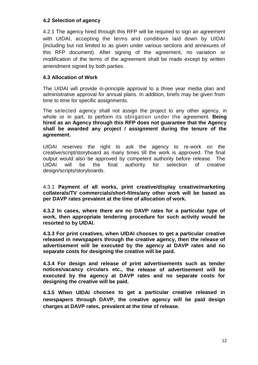## **4.2 Selection of agency**

4.2.1 The agency hired through this RFP will be required to sign an agreement with UIDAI, accepting the terms and conditions laid down by UIDAI (including but not limited to as given under various sections and annexures of this RFP document). After signing of the agreement, no variation or modification of the terms of the agreement shall be made except by written amendment signed by both parties.

#### **4.3 Allocation of Work**

The UIDAI will provide in-principle approval to a three year media plan and administrative approval for annual plans. In addition, briefs may be given from time to time for specific assignments.

The selected agency shall not assign the project to any other agency, in whole or in part, to perform its obligation under the agreement. **Being hired as an Agency through this RFP does not guarantee that the Agency shall be awarded any project / assignment during the tenure of the agreement.** 

UIDAI reserves the right to ask the agency to re-work on the creative/script/storyboard as many times till the work is approved. The final output would also be approved by competent authority before release. The UIDAI will be the final authority for selection of creative design/scripts/storyboards.

4.3.1 **Payment of all works, print creative/display creative/marketing collaterals/TV commercials/short-films/any other work will be based as per DAVP rates prevalent at the time of allocation of work.**

**4.3.2 In cases, where there are no DAVP rates for a particular type of work, then appropriate tendering procedure for such activity would be resorted to by UIDAI.** 

**4.3.3 For print creatives, when UIDAI chooses to get a particular creative released in newspapers through the creative agency, then the release of advertisement will be executed by the agency at DAVP rates and no separate costs for designing the creative will be paid.**

**4.3.4 For design and release of print advertisements such as tender notices/vacancy circulars etc., the release of advertisement will be executed by the agency at DAVP rates and no separate costs for designing the creative will be paid.**

**4.3.5 When UIDAI chooses to get a particular creative released in newspapers through DAVP, the creative agency will be paid design charges at DAVP rates, prevalent at the time of release.**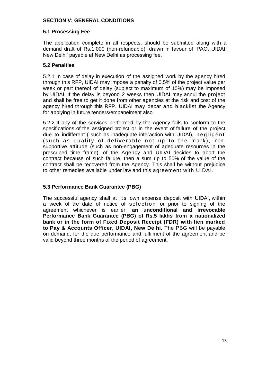## **SECTION V: GENERAL CONDITIONS**

#### **5.1 Processing Fee**

The application complete in all respects, should be submitted along with a demand draft of Rs.1,000 (non-refundable), drawn in favour of "PAO, UIDAI, New Delhi" payable at New Delhi as processing fee.

#### **5.2 Penalties**

5.2.1 In case of delay in execution of the assigned work by the agency hired through this RFP, UIDAI may impose a penalty of 0.5% of the project value per week or part thereof of delay (subject to maximum of 10%) may be imposed by UIDAI. If the delay is beyond 2 weeks then UIDAI may annul the project and shall be free to get it done from other agencies at the risk and cost of the agency hired through this RFP. UIDAI may debar and blacklist the Agency for applying in future tenders/empanelment also.

5.2.2 If any of the services performed by the Agency fails to conform to the specifications of the assigned project or in the event of failure of the project due to indifferent ( such as inadequate interaction with UIDAI), negligent (such as quality of deliverable not up to the mark), nonsupportive attitude (such as non-engagement of adequate resources in the prescribed time frame), of the Agency and UIDAI decides to abort the contract because of such failure, then a sum up to 50% of the value of the contract shall be recovered from the Agency. This shall be without prejudice to other remedies available under law and this agreement with UIDAI.

## **5.3 Performance Bank Guarantee (PBG)**

The successful agency shall at its own expense deposit with UIDAI, within a week of the date of notice of selection or prior to signing of the agreement whichever is earlier, **an unconditional and irrevocable Performance Bank Guarantee (PBG) of Rs.5 lakhs from a nationalized bank or in the form of Fixed Deposit Receipt (FDR) with lien marked to Pay & Accounts Officer, UIDAI, New Delhi.** The PBG will be payable on demand, for the due performance and fulfilment of the agreement and be valid beyond three months of the period of agreement.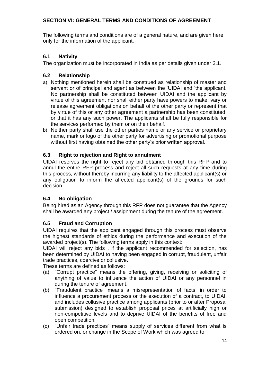# **SECTION VI: GENERAL TERMS AND CONDITIONS OF AGREEMENT**

The following terms and conditions are of a general nature, and are given here only for the information of the applicant.

## **6.1 Nativity**

The organization must be incorporated in India as per details given under 3.1.

# **6.2 Relationship**

- a) Nothing mentioned herein shall be construed as relationship of master and servant or of principal and agent as between the "UIDAI and "the applicant. No partnership shall be constituted between UIDAI and the applicant by virtue of this agreement nor shall either party have powers to make, vary or release agreement obligations on behalf of the other party or represent that by virtue of this or any other agreement a partnership has been constituted, or that it has any such power. The applicants shall be fully responsible for the services performed by them or on their behalf.
- b) Neither party shall use the other parties name or any service or proprietary name, mark or logo of the other party for advertising or promotional purpose without first having obtained the other party's prior written approval.

# **6.3 Right to rejection and Right to annulment**

UIDAI reserves the right to reject any bid obtained through this RFP and to annul the entire RFP process and reject all such requests at any time during this process, without thereby incurring any liability to the affected applicant(s) or any obligation to inform the affected applicant(s) of the grounds for such decision.

## **6.4 No obligation**

Being hired as an Agency through this RFP does not guarantee that the Agency shall be awarded any project / assignment during the tenure of the agreement.

# **6.5 Fraud and Corruption**

UIDAI requires that the applicant engaged through this process must observe the highest standards of ethics during the performance and execution of the awarded project(s). The following terms apply in this context:

UIDAI will reject any bids , if the applicant recommended for selection, has been determined by UIDAI to having been engaged in corrupt, fraudulent, unfair trade practices, coercive or collusive.

These terms are defined as follows:

- (a) "Corrupt practice" means the offering, giving, receiving or soliciting of anything of value to influence the action of UIDAI or any personnel in during the tenure of agreement.
- (b) "Fraudulent practice" means a misrepresentation of facts, in order to influence a procurement process or the execution of a contract, to UIDAI, and includes collusive practice among applicants (prior to or after Proposal submission) designed to establish proposal prices at artificially high or non-competitive levels and to deprive UIDAI of the benefits of free and open competition.
- (c) "Unfair trade practices" means supply of services different from what is ordered on, or change in the Scope of Work which was agreed to.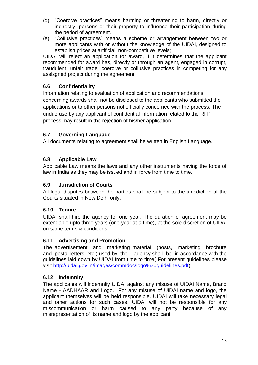- (d) "Coercive practices" means harming or threatening to harm, directly or indirectly, persons or their property to influence their participation during the period of agreement.
- (e) "Collusive practices" means a scheme or arrangement between two or more applicants with or without the knowledge of the UIDAI, designed to establish prices at artificial, non-competitive levels;

UIDAI will reject an application for award, if it determines that the applicant recommended for award has, directly or through an agent, engaged in corrupt, fraudulent, unfair trade, coercive or collusive practices in competing for any assisgned project during the agreement.

# **6.6 Confidentiality**

Information relating to evaluation of application and recommendations concerning awards shall not be disclosed to the applicants who submitted the applications or to other persons not officially concerned with the process. The undue use by any applicant of confidential information related to the RFP process may result in the rejection of his/her application.

## **6.7 Governing Language**

All documents relating to agreement shall be written in English Language.

## **6.8 Applicable Law**

Applicable Law means the laws and any other instruments having the force of law in India as they may be issued and in force from time to time.

## **6.9 Jurisdiction of Courts**

All legal disputes between the parties shall be subject to the jurisdiction of the Courts situated in New Delhi only.

## **6.10 Tenure**

UIDAI shall hire the agency for one year. The duration of agreement may be extendable upto three years (one year at a time), at the sole discretion of UIDAI on same terms & conditions.

## **6.11 Advertising and Promotion**

The advertisement and marketing material (posts, marketing brochure and postal letters etc.) used by the agency shall be in accordance with the agency shall be in accordance with the guidelines laid down by UIDAI from time to time( For present guidelines please visit [http://uidai.gov.in/images/commdoc/logo%20guidelines.pdf\)](http://uidai.gov.in/images/commdoc/logo%20guidelines.pdf)

## **6.12 Indemnity**

The applicants will indemnify UIDAI against any misuse of UIDAI Name, Brand Name - AADHAAR and Logo. For any misuse of UIDAI name and logo, the applicant themselves will be held responsible. UIDAI will take necessary legal and other actions for such cases. UIDAI will not be responsible for any miscommunication or harm caused to any party because of any misrepresentation of its name and logo by the applicant.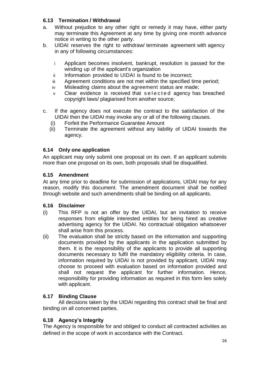# **6.13 Termination / Withdrawal**

- a. Without prejudice to any other right or remedy it may have, either party may terminate this Agreement at any time by giving one month advance notice in writing to the other party.
- b. UIDAI reserves the right to withdraw/ terminate agreement with agency in any of following circumstances:
	- i Applicant becomes insolvent, bankrupt, resolution is passed for the winding up of the applicant's organization
	- ii Information provided to UIDAI is found to be incorrect;
	- iii Agreement conditions are not met within the specified time period;
	- iv Misleading claims about the agreement status are made;
	- v Clear evidence is received that selected agency has breached copyright laws/ plagiarised from another source;
- c. If the agency does not execute the contract to the satisfaction of the UIDAI then the UIDAI may invoke any or all of the following clauses.
	- (i) Forfeit the Performance Guarantee Amount
	- (ii) Terminate the agreement without any liability of UIDAI towards the agency.

## **6.14 Only one application**

An applicant may only submit one proposal on its own. If an applicant submits more than one proposal on its own, both proposals shall be disqualified.

## **6.15 Amendment**

At any time prior to deadline for submission of applications, UIDAI may for any reason, modify this document. The amendment document shall be notified through website and such amendments shall be binding on all applicants.

## **6.16 Disclaimer**

- (i) This RFP is not an offer by the UIDAI, but an invitation to receive responses from eligible interested entities for being hired as creative advertising agency for the UIDAI. No contractual obligation whatsoever shall arise from this process.
- (ii) The evaluation shall be strictly based on the information and supporting documents provided by the applicants in the application submitted by them. It is the responsibility of the applicants to provide all supporting documents necessary to fulfil the mandatory eligibility criteria. In case, information required by UIDAI is not provided by applicant, UIDAI may choose to proceed with evaluation based on information provided and shall not request the applicant for further information. Hence, responsibility for providing information as required in this form lies solely with applicant.

## **6.17 Binding Clause**

All decisions taken by the UIDAI regarding this contract shall be final and binding on all concerned parties.

## **6.18 Agency's Integrity**

The Agency is responsible for and obliged to conduct all contracted activities as defined in the scope of work in accordance with the Contract.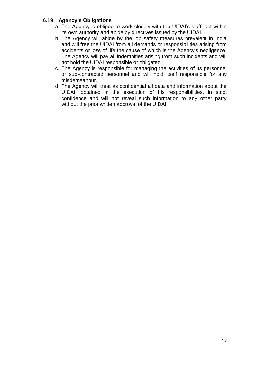#### **6.19 Agency's Obligations**

- a. The Agency is obliged to work closely with the UIDAI"s staff, act within its own authority and abide by directives issued by the UIDAI.
- b. The Agency will abide by the job safety measures prevalent in India and will free the UIDAI from all demands or responsibilities arising from accidents or loss of life the cause of which is the Agency"s negligence. The Agency will pay all indemnities arising from such incidents and will not hold the UIDAI responsible or obligated.
- c. The Agency is responsible for managing the activities of its personnel or sub-contracted personnel and will hold itself responsible for any misdemeanour.
- d. The Agency will treat as confidential all data and information about the UIDAI, obtained in the execution of his responsibilities, in strict confidence and will not reveal such information to any other party without the prior written approval of the UIDAI.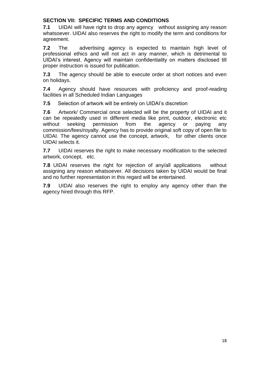## **SECTION VII: SPECIFIC TERMS AND CONDITIONS**

**7.1** UIDAI will have right to drop any agency without assigning any reason whatsoever. UIDAI also reserves the right to modify the term and conditions for agreement.

**7.2** The advertising agency is expected to maintain high level of professional ethics and will not act in any manner, which is detrimental to UIDAI"s interest. Agency will maintain confidentiality on matters disclosed till proper instruction is issued for publication.

**7.3** The agency should be able to execute order at short notices and even on holidays.

**7.4** Agency should have resources with proficiency and proof-reading facilities in all Scheduled Indian Languages

**7.5** Selection of artwork will be entirely on UIDAI's discretion

**7.6** Artwork/ Commercial once selected will be the property of UIDAI and it can be repeatedly used in different media like print, outdoor, electronic etc without seeking permission from the agency or paying any commission/fees/royalty. Agency has to provide original soft copy of open file to UIDAI. The agency cannot use the concept, artwork, for other clients once UIDAI selects it.

**7.7** UIDAI reserves the right to make necessary modification to the selected artwork, concept, etc.

**7.8** UIDAI reserves the right for rejection of any/all applications without assigning any reason whatsoever. All decisions taken by UIDAI would be final and no further representation in this regard will be entertained.

**7.9** UIDAI also reserves the right to employ any agency other than the agency hired through this RFP.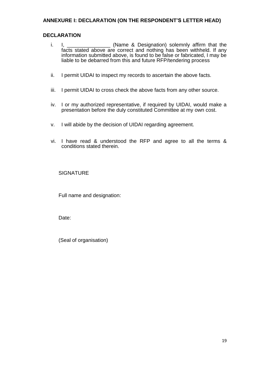## **ANNEXURE I: DECLARATION (ON THE RESPONDENT'S LETTER HEAD)**

#### **DECLARATION**

- i. I, \_\_\_\_\_\_\_\_\_\_\_\_\_\_\_ (Name & Designation) solemnly affirm that the facts stated above are correct and nothing has been withheld. If any information submitted above, is found to be false or fabricated, I may be liable to be debarred from this and future RFP/tendering process
- ii. I permit UIDAI to inspect my records to ascertain the above facts.
- iii. I permit UIDAI to cross check the above facts from any other source.
- iv. I or my authorized representative, if required by UIDAI, would make a presentation before the duly constituted Committee at my own cost.
- v. I will abide by the decision of UIDAI regarding agreement.
- vi. I have read & understood the RFP and agree to all the terms & conditions stated therein.

**SIGNATURE** 

Full name and designation:

Date:

(Seal of organisation)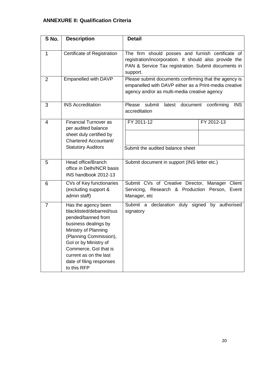# **ANNEXURE II: Qualification Criteria**

| S No.          | <b>Description</b>                                                                                                                                                                                                                                                     | <b>Detail</b>                                                                                                                                                  |  |
|----------------|------------------------------------------------------------------------------------------------------------------------------------------------------------------------------------------------------------------------------------------------------------------------|----------------------------------------------------------------------------------------------------------------------------------------------------------------|--|
| 1              | Certificate of Registration                                                                                                                                                                                                                                            | The firm should posses and furnish certificate of                                                                                                              |  |
|                |                                                                                                                                                                                                                                                                        | registration/incorporation. It should also provide the<br>PAN & Service Tax registration. Submit documents in<br>support.                                      |  |
| $\overline{2}$ | Empanelled with DAVP                                                                                                                                                                                                                                                   | Please submit documents confirming that the agency is<br>empanelled with DAVP either as a Print-media creative<br>agency and/or as multi-media creative agency |  |
| 3              | <b>INS Accreditation</b>                                                                                                                                                                                                                                               | submit<br>Please<br>latest<br>document<br><b>INS</b><br>confirming<br>accreditation                                                                            |  |
| $\overline{4}$ | <b>Financial Turnover as</b><br>per audited balance<br>sheet duly certified by<br>Chartered Accountant/                                                                                                                                                                | FY 2011-12<br>FY 2012-13                                                                                                                                       |  |
|                | <b>Statutory Auditors</b>                                                                                                                                                                                                                                              | Submit the audited balance sheet                                                                                                                               |  |
| 5              | Head office/Branch<br>office in Delhi/NCR basis<br>INS handbook 2012-13                                                                                                                                                                                                | Submit document in support (INS letter etc.)                                                                                                                   |  |
| 6              | CVs of Key functionaries<br>(excluding support &<br>admin staff)                                                                                                                                                                                                       | Submit CVs of Creative Director, Manager Client<br>Servicing, Research & Production Person,<br>Event<br>Manager, etc                                           |  |
| 7              | Has the agency been<br>blacklisted/debarred/sus<br>pended/banned from<br>business dealings by<br>Ministry of Planning<br>(Planning Commission),<br>Gol or by Ministry of<br>Commerce, Gol that is<br>current as on the last<br>date of filing responses<br>to this RFP | Submit a declaration duly signed by authorised<br>signatory                                                                                                    |  |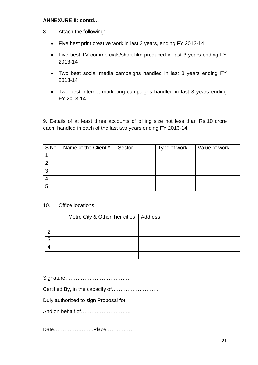#### **ANNEXURE II: contd…**

- 8. Attach the following:
	- Five best print creative work in last 3 years, ending FY 2013-14
	- Five best TV commercials/short-film produced in last 3 years ending FY 2013-14
	- Two best social media campaigns handled in last 3 years ending FY 2013-14
	- Two best internet marketing campaigns handled in last 3 years ending FY 2013-14

9. Details of at least three accounts of billing size not less than Rs.10 crore each, handled in each of the last two years ending FY 2013-14.

|   | S No.   Name of the Client * | Sector | Type of work | Value of work |
|---|------------------------------|--------|--------------|---------------|
|   |                              |        |              |               |
|   |                              |        |              |               |
| റ |                              |        |              |               |
|   |                              |        |              |               |
| 5 |                              |        |              |               |

#### 10. Office locations

| Metro City & Other Tier cities   Address |  |
|------------------------------------------|--|
|                                          |  |
|                                          |  |
|                                          |  |
|                                          |  |
|                                          |  |

Signature……………………………….

Certified By, in the capacity of………………………

Duly authorized to sign Proposal for

And on behalf of………………………..

Date…………………..Place……………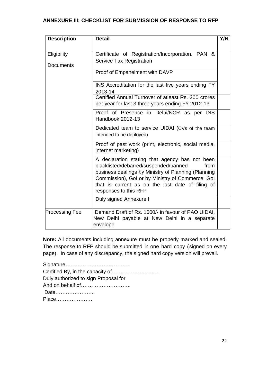## **ANNEXURE III: CHECKLIST FOR SUBMISSION OF RESPONSE TO RFP**

| <b>Description</b>              | <b>Detail</b>                                                                                                                                                                                                                                                                           | Y/N |
|---------------------------------|-----------------------------------------------------------------------------------------------------------------------------------------------------------------------------------------------------------------------------------------------------------------------------------------|-----|
| Eligibility<br><b>Documents</b> | Certificate of Registration/Incorporation. PAN &<br><b>Service Tax Registration</b>                                                                                                                                                                                                     |     |
|                                 | Proof of Empanelment with DAVP                                                                                                                                                                                                                                                          |     |
|                                 | INS Accreditation for the last five years ending FY<br>2013-14                                                                                                                                                                                                                          |     |
|                                 | Certified Annual Turnover of atleast Rs. 200 crores<br>per year for last 3 three years ending FY 2012-13                                                                                                                                                                                |     |
|                                 | Proof of Presence in Delhi/NCR as per INS<br>Handbook 2012-13                                                                                                                                                                                                                           |     |
|                                 | Dedicated team to service UIDAI (CVs of the team<br>intended to be deployed)                                                                                                                                                                                                            |     |
|                                 | Proof of past work (print, electronic, social media,<br>internet marketing)                                                                                                                                                                                                             |     |
|                                 | A declaration stating that agency has not been<br>blacklisted/debarred/suspended/banned<br>from<br>business dealings by Ministry of Planning (Planning<br>Commission), Gol or by Ministry of Commerce, Gol<br>that is current as on the last date of filing of<br>responses to this RFP |     |
|                                 | Duly signed Annexure I                                                                                                                                                                                                                                                                  |     |
| <b>Processing Fee</b>           | Demand Draft of Rs. 1000/- in favour of PAO UIDAI,<br>New Delhi payable at New Delhi in a separate<br>envelope                                                                                                                                                                          |     |

**Note:** All documents including annexure must be properly marked and sealed. The response to RFP should be submitted in one hard copy (signed on every page). In case of any discrepancy, the signed hard copy version will prevail.

| Certified By, in the capacity of     |  |
|--------------------------------------|--|
| Duly authorized to sign Proposal for |  |
|                                      |  |
| Date                                 |  |
| Place                                |  |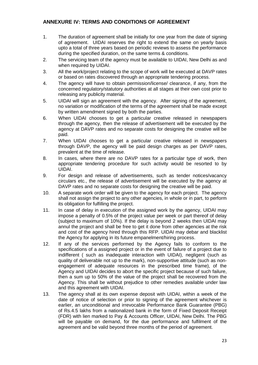## **ANNEXURE IV: TERMS AND CONDITIONS OF AGREEMENT**

- 1. The duration of agreement shall be initially for one year from the date of signing of agreement. UIDAI reserves the right to extend the same on yearly basis upto a total of three years based on periodic reviews to assess the performance during the specified duration, on the same terms & conditions.
- 2. The servicing team of the agency must be available to UIDAI, New Delhi as and when required by UIDAI.
- 3. All the work/project relating to the scope of work will be executed at DAVP rates or based on rates discovered through an appropriate tendering process.
- 4. The agency will have to obtain permission/license/ clearance, if any, from the concerned regulatory/statutory authorities at all stages at their own cost prior to releasing any publicity material.
- 5. UIDAI will sign an agreement with the agency. After signing of the agreement, no variation or modification of the terms of the agreement shall be made except by written amendment signed by both the parties.
- 6. When UIDAI chooses to get a particular creative released in newspapers through the agency, then the release of advertisement will be executed by the agency at DAVP rates and no separate costs for designing the creative will be paid.
- 7. When UIDAI chooses to get a particular creative released in newspapers through DAVP, the agency will be paid design charges as per DAVP rates, prevalent at the time of release.
- 8. In cases, where there are no DAVP rates for a particular type of work, then appropriate tendering procedure for such activity would be resorted to by UIDAI.
- 9. For design and release of advertisements, such as tender notices/vacancy circulars etc., the release of advertisement will be executed by the agency at DAVP rates and no separate costs for designing the creative will be paid.
- 10. A separate work order will be given to the agency for each project. The agency shall not assign the project to any other agencies, in whole or in part, to perform its obligation for fulfilling the project.
- 11. In case of delay in execution of the assigned work by the agency, UIDAI may impose a penalty of 0.5% of the project value per week or part thereof of delay (subject to maximum of 10%). If the delay is beyond 2 weeks then UIDAI may annul the project and shall be free to get it done from other agencies at the risk and cost of the agency hired through this RFP. UIDAI may debar and blacklist the Agency for applying in its future empanelment/hiring process.
- 12. If any of the services performed by the Agency fails to conform to the specifications of a assigned project or in the event of failure of a project due to indifferent ( such as inadequate interaction with UIDAI), negligent (such as quality of deliverable not up to the mark), non-supportive attitude (such as nonengagement of adequate resources in the prescribed time frame), of the Agency and UIDAI decides to abort the specific project because of such failure, then a sum up to 50% of the value of the project shall be recovered from the Agency. This shall be without prejudice to other remedies available under law and this agreement with UIDAI.
- 13. The agency shall at its own expense deposit with UIDAI, within a week of the date of notice of selection or prior to signing of the agreement whichever is earlier, an unconditional and irrevocable Performance Bank Guarantee (PBG) of Rs.4.5 lakhs from a nationalized bank in the form of Fixed Deposit Receipt (FDR) with lien marked to Pay & Accounts Officer, UIDAI, New Delhi. The PBG will be payable on demand, for the due performance and fulfilment of the agreement and be valid beyond three months of the period of agreement.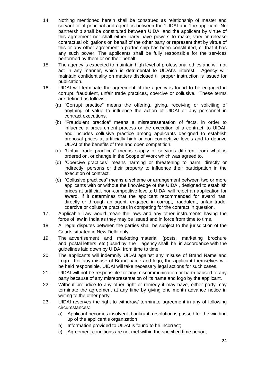- 14. Nothing mentioned herein shall be construed as relationship of master and servant or of principal and agent as between the "UIDAI and "the applicant. No partnership shall be constituted between UIDAI and the applicant by virtue of this agreement nor shall either party have powers to make, vary or release contractual obligations on behalf of the other party or represent that by virtue of this or any other agreement a partnership has been constituted, or that it has any such power. The applicants shall be fully responsible for the services performed by them or on their behalf.
- 15. The agency is expected to maintain high level of professional ethics and will not act in any manner, which is detrimental to UIDAI"s interest. Agency will maintain confidentiality on matters disclosed till proper instruction is issued for publication.
- 16. UIDAI will terminate the agreement, if the agency is found to be engaged in corrupt, fraudulent, unfair trade practices, coercive or collusive. These terms are defined as follows:
	- (a) "Corrupt practice" means the offering, giving, receiving or soliciting of anything of value to influence the action of UIDAI or any personnel in contract executions.
	- (b) "Fraudulent practice" means a misrepresentation of facts, in order to influence a procurement process or the execution of a contract, to UIDAI, and includes collusive practice among applicants designed to establish proposal prices at artificially high or non competitive levels and to deprive UIDAI of the benefits of free and open competition.
	- (c) "Unfair trade practices" means supply of services different from what is ordered on, or change in the Scope of Work which was agreed to.
	- (d) "Coercive practices" means harming or threatening to harm, directly or indirectly, persons or their property to influence their participation in the execution of contract.
	- (e) "Collusive practices" means a scheme or arrangement between two or more applicants with or without the knowledge of the UIDAI, designed to establish prices at artificial, non-competitive levels; UIDAI will reject an application for award, if it determines that the applicant recommended for award has, directly or through an agent, engaged in corrupt, fraudulent, unfair trade, coercive or collusive practices in competing for the contract in question.
- 17. Applicable Law would mean the laws and any other instruments having the force of law in India as they may be issued and in force from time to time.
- 18. All legal disputes between the parties shall be subject to the jurisdiction of the Courts situated in New Delhi only.
- 19. The advertisement and marketing material (posts, marketing brochure and postal letters etc.) used by the agency shall be in accordance with the guidelines laid down by UIDAI from time to time.
- 20. The applicants will indemnify UIDAI against any misuse of Brand Name and Logo. For any misuse of Brand name and logo, the applicant themselves will be held responsible. UIDAI will take necessary legal actions for such cases.
- 21. UIDAI will not be responsible for any miscommunication or harm caused to any party because of any misrepresentation of its name and logo by the applicant.
- 22. Without prejudice to any other right or remedy it may have, either party may terminate the agreement at any time by giving one month advance notice in writing to the other party.
- 23. UIDAI reserves the right to withdraw/ terminate agreement in any of following circumstances:
	- a) Applicant becomes insolvent, bankrupt, resolution is passed for the winding up of the applicant"s organization
	- b) Information provided to UIDAI is found to be incorrect;
	- c) Agreement conditions are not met within the specified time period;